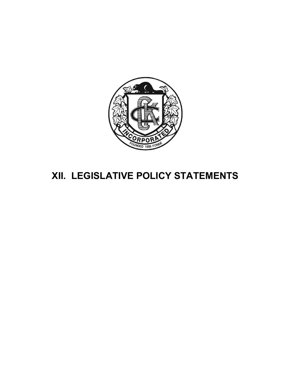

# XII. LEGISLATIVE POLICY STATEMENTS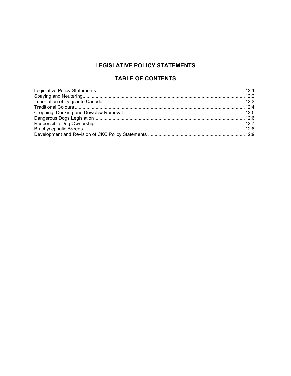# **LEGISLATIVE POLICY STATEMENTS**

# **TABLE OF CONTENTS**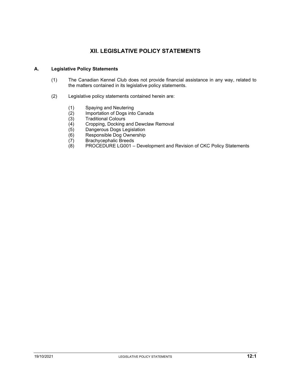# XII. LEGISLATIVE POLICY STATEMENTS

## A. Legislative Policy Statements

- (1) The Canadian Kennel Club does not provide financial assistance in any way, related to the matters contained in its legislative policy statements.
- (2) Legislative policy statements contained herein are:
	- (1) Spaying and Neutering
	- (2) Importation of Dogs into Canada<br>(3) Traditional Colours
	- Traditional Colours
	- (4) Cropping, Docking and Dewclaw Removal
	- (5) Dangerous Dogs Legislation
	- (6) Responsible Dog Ownership
	- (7) Brachycephalic Breeds
	- (8) PROCEDURE LG001 Development and Revision of CKC Policy Statements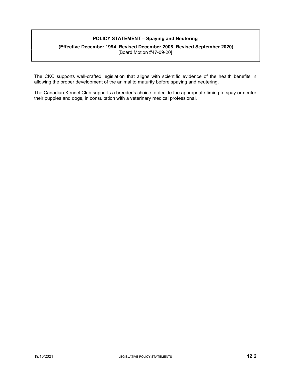## POLICY STATEMENT – Spaying and Neutering

#### (Effective December 1994, Revised December 2008, Revised September 2020) [Board Motion #47-09-20]

The CKC supports well-crafted legislation that aligns with scientific evidence of the health benefits in allowing the proper development of the animal to maturity before spaying and neutering.

The Canadian Kennel Club supports a breeder's choice to decide the appropriate timing to spay or neuter their puppies and dogs, in consultation with a veterinary medical professional.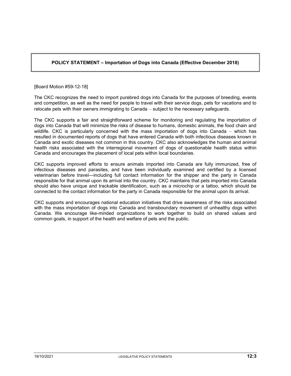## POLICY STATEMENT – Importation of Dogs into Canada (Effective December 2018)

[Board Motion #59-12-18]

The CKC recognizes the need to import purebred dogs into Canada for the purposes of breeding, events and competition, as well as the need for people to travel with their service dogs, pets for vacations and to relocate pets with their owners immigrating to Canada – subject to the necessary safeguards.

The CKC supports a fair and straightforward scheme for monitoring and regulating the importation of dogs into Canada that will minimize the risks of disease to humans, domestic animals, the food chain and wildlife. CKC is particularly concerned with the mass importation of dogs into Canada – which has resulted in documented reports of dogs that have entered Canada with both infectious diseases known in Canada and exotic diseases not common in this country. CKC also acknowledges the human and animal health risks associated with the interregional movement of dogs of questionable health status within Canada and encourages the placement of local pets within local boundaries.

CKC supports improved efforts to ensure animals imported into Canada are fully immunized, free of infectious diseases and parasites, and have been individually examined and certified by a licensed veterinarian before travel—including full contact information for the shipper and the party in Canada responsible for that animal upon its arrival into the country. CKC maintains that pets imported into Canada should also have unique and trackable identification, such as a microchip or a tattoo, which should be connected to the contact information for the party in Canada responsible for the animal upon its arrival.

CKC supports and encourages national education initiatives that drive awareness of the risks associated with the mass importation of dogs into Canada and transboundary movement of unhealthy dogs within Canada. We encourage like-minded organizations to work together to build on shared values and common goals, in support of the health and welfare of pets and the public.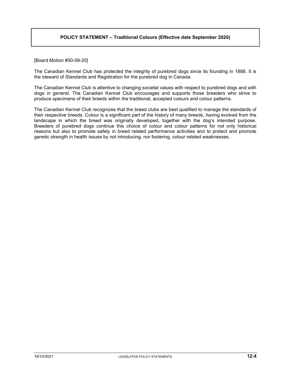#### POLICY STATEMENT – Traditional Colours (Effective date September 2020)

[Board Motion #50-09-20]

The Canadian Kennel Club has protected the integrity of purebred dogs since its founding in 1888. It is the steward of Standards and Registration for the purebred dog in Canada.

The Canadian Kennel Club is attentive to changing societal values with respect to purebred dogs and with dogs in general. The Canadian Kennel Club encourages and supports those breeders who strive to produce specimens of their breeds within the traditional, accepted colours and colour patterns.

The Canadian Kennel Club recognizes that the breed clubs are best qualified to manage the standards of their respective breeds. Colour is a significant part of the history of many breeds, having evolved from the landscape in which the breed was originally developed, together with the dog's intended purpose. Breeders of purebred dogs continue this choice of colour and colour patterns for not only historical reasons but also to promote safety in breed related performance activities and to protect and promote genetic strength in health issues by not introducing, nor fostering, colour related weaknesses.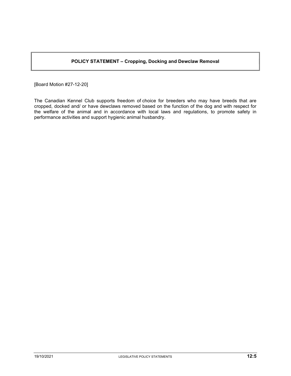## POLICY STATEMENT – Cropping, Docking and Dewclaw Removal

[Board Motion #27-12-20]

The Canadian Kennel Club supports freedom of choice for breeders who may have breeds that are cropped, docked and/ or have dewclaws removed based on the function of the dog and with respect for the welfare of the animal and in accordance with local laws and regulations, to promote safety in performance activities and support hygienic animal husbandry.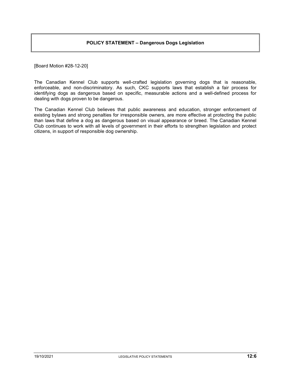#### POLICY STATEMENT – Dangerous Dogs Legislation

[Board Motion #28-12-20]

The Canadian Kennel Club supports well-crafted legislation governing dogs that is reasonable, enforceable, and non-discriminatory. As such, CKC supports laws that establish a fair process for identifying dogs as dangerous based on specific, measurable actions and a well-defined process for dealing with dogs proven to be dangerous.

The Canadian Kennel Club believes that public awareness and education, stronger enforcement of existing bylaws and strong penalties for irresponsible owners, are more effective at protecting the public than laws that define a dog as dangerous based on visual appearance or breed. The Canadian Kennel Club continues to work with all levels of government in their efforts to strengthen legislation and protect citizens, in support of responsible dog ownership.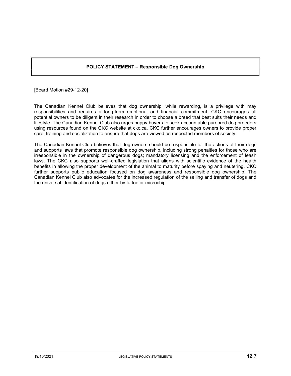#### POLICY STATEMENT – Responsible Dog Ownership

[Board Motion #29-12-20]

The Canadian Kennel Club believes that dog ownership, while rewarding, is a privilege with may responsibilities and requires a long-term emotional and financial commitment. CKC encourages all potential owners to be diligent in their research in order to choose a breed that best suits their needs and lifestyle. The Canadian Kennel Club also urges puppy buyers to seek accountable purebred dog breeders using resources found on the CKC website at ckc.ca. CKC further encourages owners to provide proper care, training and socialization to ensure that dogs are viewed as respected members of society.

The Canadian Kennel Club believes that dog owners should be responsible for the actions of their dogs and supports laws that promote responsible dog ownership, including strong penalties for those who are irresponsible in the ownership of dangerous dogs; mandatory licensing and the enforcement of leash laws. The CKC also supports well-crafted legislation that aligns with scientific evidence of the health benefits in allowing the proper development of the animal to maturity before spaying and neutering. CKC further supports public education focused on dog awareness and responsible dog ownership. The Canadian Kennel Club also advocates for the increased regulation of the selling and transfer of dogs and the universal identification of dogs either by tattoo or microchip.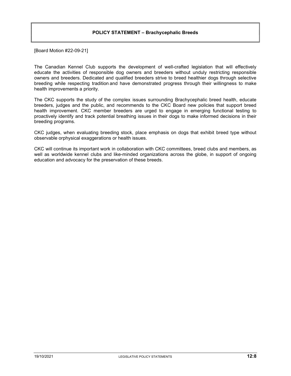#### POLICY STATEMENT – Brachycephalic Breeds

[Board Motion #22-09-21]

The Canadian Kennel Club supports the development of well-crafted legislation that will effectively educate the activities of responsible dog owners and breeders without unduly restricting responsible owners and breeders. Dedicated and qualified breeders strive to breed healthier dogs through selective breeding while respecting tradition and have demonstrated progress through their willingness to make health improvements a priority.

The CKC supports the study of the complex issues surrounding Brachycephalic breed health, educate breeders, judges and the public, and recommends to the CKC Board new policies that support breed health improvement. CKC member breeders are urged to engage in emerging functional testing to proactively identify and track potential breathing issues in their dogs to make informed decisions in their breeding programs.

CKC judges, when evaluating breeding stock, place emphasis on dogs that exhibit breed type without observable orphysical exaggerations or health issues.

CKC will continue its important work in collaboration with CKC committees, breed clubs and members, as well as worldwide kennel clubs and like-minded organizations across the globe, in support of ongoing education and advocacy for the preservation of these breeds.